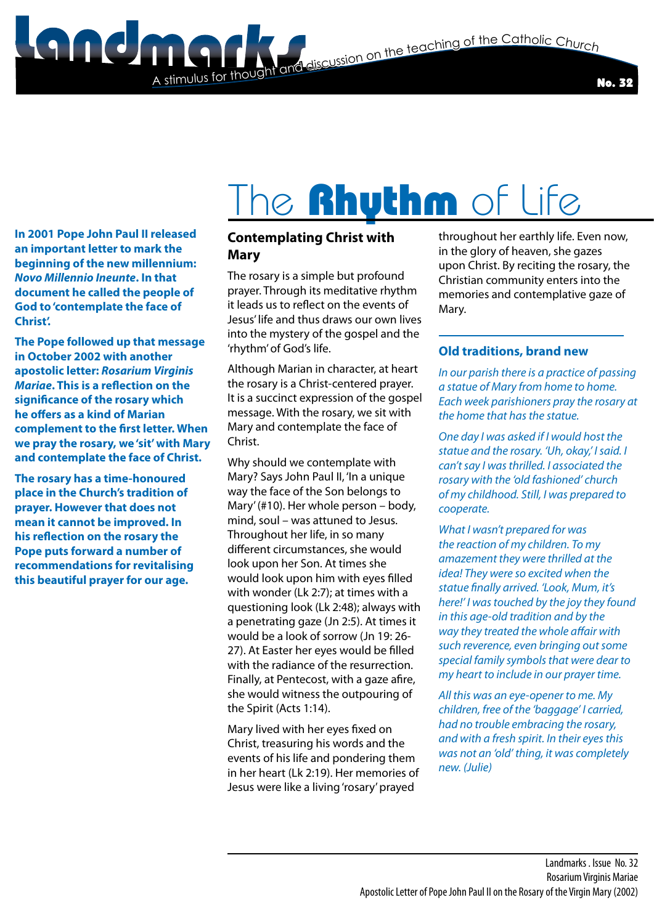**State of the Catholic Church**<br>The discussion on the teaching of the Catholic Church



**In 2001 Pope John Paul II released an important letter to mark the beginning of the new millennium:**  *Novo Millennio Ineunte***. In that document he called the people of God to 'contemplate the face of Christ'.**

**The Pope followed up that message in October 2002 with another apostolic letter:** *Rosarium Virginis Mariae***. This is a reflection on the significance of the rosary which he offers as a kind of Marian complement to the first letter. When we pray the rosary, we 'sit' with Mary and contemplate the face of Christ.**

**The rosary has a time-honoured place in the Church's tradition of prayer. However that does not mean it cannot be improved. In his reflection on the rosary the Pope puts forward a number of recommendations for revitalising this beautiful prayer for our age.**

## The **Rhythm** of Life

#### **Contemplating Christ with Mary**

A stimulus for though

The rosary is a simple but profound prayer. Through its meditative rhythm it leads us to reflect on the events of Jesus' life and thus draws our own lives into the mystery of the gospel and the 'rhythm' of God's life.

Although Marian in character, at heart the rosary is a Christ-centered prayer. It is a succinct expression of the gospel message. With the rosary, we sit with Mary and contemplate the face of Christ.

Why should we contemplate with Mary? Says John Paul II, 'In a unique way the face of the Son belongs to Mary' (#10). Her whole person – body, mind, soul – was attuned to Jesus. Throughout her life, in so many different circumstances, she would look upon her Son. At times she would look upon him with eyes filled with wonder (Lk 2:7); at times with a questioning look (Lk 2:48); always with a penetrating gaze (Jn 2:5). At times it would be a look of sorrow (Jn 19: 26- 27). At Easter her eyes would be filled with the radiance of the resurrection. Finally, at Pentecost, with a gaze afire, she would witness the outpouring of the Spirit (Acts 1:14).

Mary lived with her eyes fixed on Christ, treasuring his words and the events of his life and pondering them in her heart (Lk 2:19). Her memories of Jesus were like a living 'rosary' prayed

throughout her earthly life. Even now, in the glory of heaven, she gazes upon Christ. By reciting the rosary, the Christian community enters into the memories and contemplative gaze of Mary.

#### **Old traditions, brand new**

*In our parish there is a practice of passing a statue of Mary from home to home. Each week parishioners pray the rosary at the home that has the statue.*

*One day I was asked if I would host the statue and the rosary. 'Uh, okay,' I said. I can't say I was thrilled. I associated the rosary with the 'old fashioned' church of my childhood. Still, I was prepared to cooperate.*

*What I wasn't prepared for was the reaction of my children. To my amazement they were thrilled at the idea! They were so excited when the statue finally arrived. 'Look, Mum, it's here!' I was touched by the joy they found in this age-old tradition and by the way they treated the whole affair with such reverence, even bringing out some special family symbols that were dear to my heart to include in our prayer time.*

*All this was an eye-opener to me. My children, free of the 'baggage' I carried, had no trouble embracing the rosary, and with a fresh spirit. In their eyes this was not an 'old' thing, it was completely new. (Julie)*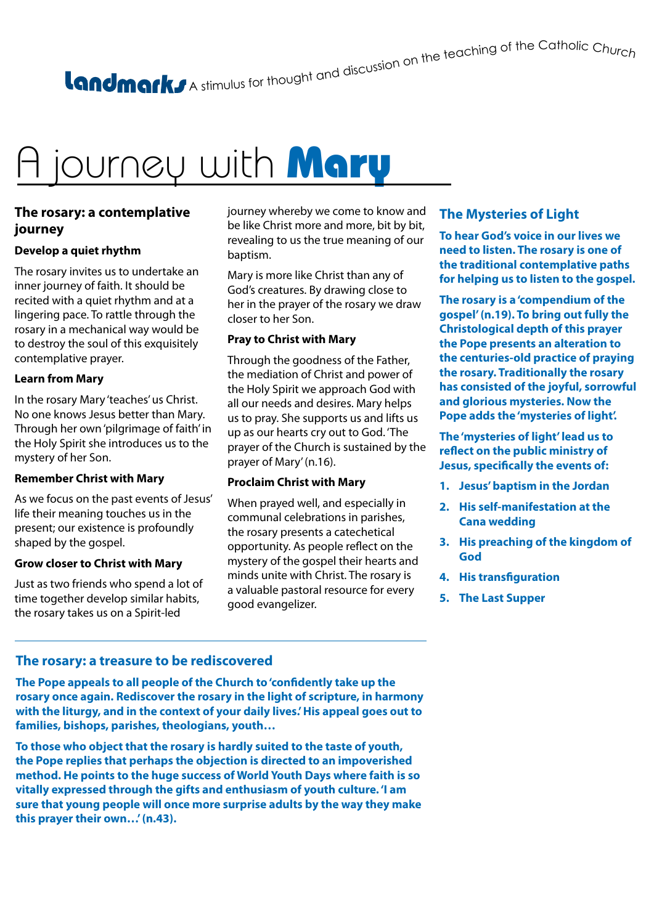A stimulus for thought and discussion on the teaching of the Catholic Churc<sub>h</sub>

### A journey with Mary

#### **The rosary: a contemplative journey**

#### **Develop a quiet rhythm**

The rosary invites us to undertake an inner journey of faith. It should be recited with a quiet rhythm and at a lingering pace. To rattle through the rosary in a mechanical way would be to destroy the soul of this exquisitely contemplative prayer.

#### **Learn from Mary**

In the rosary Mary 'teaches' us Christ. No one knows Jesus better than Mary. Through her own 'pilgrimage of faith' in the Holy Spirit she introduces us to the mystery of her Son.

#### **Remember Christ with Mary**

As we focus on the past events of Jesus' life their meaning touches us in the present; our existence is profoundly shaped by the gospel.

#### **Grow closer to Christ with Mary**

Just as two friends who spend a lot of time together develop similar habits, the rosary takes us on a Spirit-led

journey whereby we come to know and be like Christ more and more, bit by bit, revealing to us the true meaning of our baptism.

Mary is more like Christ than any of God's creatures. By drawing close to her in the prayer of the rosary we draw closer to her Son.

#### **Pray to Christ with Mary**

Through the goodness of the Father, the mediation of Christ and power of the Holy Spirit we approach God with all our needs and desires. Mary helps us to pray. She supports us and lifts us up as our hearts cry out to God. 'The prayer of the Church is sustained by the prayer of Mary' (n.16).

#### **Proclaim Christ with Mary**

When prayed well, and especially in communal celebrations in parishes, the rosary presents a catechetical opportunity. As people reflect on the mystery of the gospel their hearts and minds unite with Christ. The rosary is a valuable pastoral resource for every good evangelizer.

#### **The Mysteries of Light**

**To hear God's voice in our lives we need to listen. The rosary is one of the traditional contemplative paths for helping us to listen to the gospel.**

**The rosary is a 'compendium of the gospel' (n.19). To bring out fully the Christological depth of this prayer the Pope presents an alteration to the centuries-old practice of praying the rosary. Traditionally the rosary has consisted of the joyful, sorrowful and glorious mysteries. Now the Pope adds the 'mysteries of light'.**

**The 'mysteries of light' lead us to reflect on the public ministry of Jesus, specifically the events of:**

- **1. Jesus' baptism in the Jordan**
- **2. His self-manifestation at the Cana wedding**
- **3. His preaching of the kingdom of God**
- **4. His transfiguration**
- **5. The Last Supper**

#### **The rosary: a treasure to be rediscovered**

**The Pope appeals to all people of the Church to 'confidently take up the rosary once again. Rediscover the rosary in the light of scripture, in harmony with the liturgy, and in the context of your daily lives.' His appeal goes out to families, bishops, parishes, theologians, youth…**

**To those who object that the rosary is hardly suited to the taste of youth, the Pope replies that perhaps the objection is directed to an impoverished method. He points to the huge success of World Youth Days where faith is so vitally expressed through the gifts and enthusiasm of youth culture. 'I am sure that young people will once more surprise adults by the way they make this prayer their own…' (n.43).**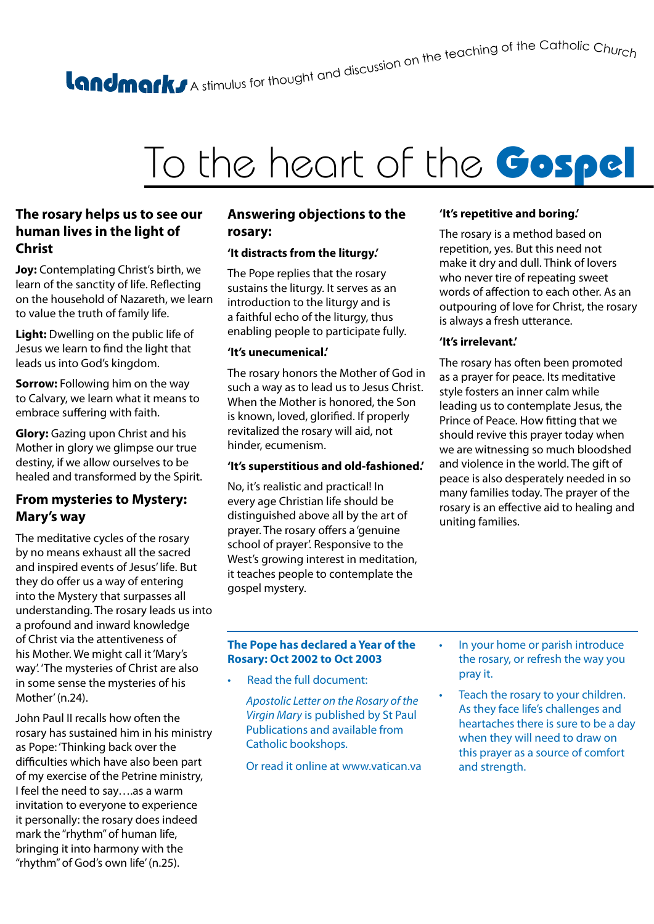## A stimulus for thought and discussion on the teaching of the Catholic Churc<sub>h</sub>

### To the heart of the Gospel

#### **The rosary helps us to see our human lives in the light of Christ**

**Joy:** Contemplating Christ's birth, we learn of the sanctity of life. Reflecting on the household of Nazareth, we learn to value the truth of family life.

**Light:** Dwelling on the public life of Jesus we learn to find the light that leads us into God's kingdom.

**Sorrow:** Following him on the way to Calvary, we learn what it means to embrace suffering with faith.

**Glory:** Gazing upon Christ and his Mother in glory we glimpse our true destiny, if we allow ourselves to be healed and transformed by the Spirit.

#### **From mysteries to Mystery: Mary's way**

The meditative cycles of the rosary by no means exhaust all the sacred and inspired events of Jesus' life. But they do offer us a way of entering into the Mystery that surpasses all understanding. The rosary leads us into a profound and inward knowledge of Christ via the attentiveness of his Mother. We might call it 'Mary's way'. 'The mysteries of Christ are also in some sense the mysteries of his Mother' (n.24).

John Paul II recalls how often the rosary has sustained him in his ministry as Pope: 'Thinking back over the difficulties which have also been part of my exercise of the Petrine ministry, I feel the need to say….as a warm invitation to everyone to experience it personally: the rosary does indeed mark the "rhythm" of human life, bringing it into harmony with the "rhythm" of God's own life' (n.25).

#### **Answering objections to the rosary:**

#### **'It distracts from the liturgy.'**

The Pope replies that the rosary sustains the liturgy. It serves as an introduction to the liturgy and is a faithful echo of the liturgy, thus enabling people to participate fully.

#### **'It's unecumenical.'**

The rosary honors the Mother of God in such a way as to lead us to Jesus Christ. When the Mother is honored, the Son is known, loved, glorified. If properly revitalized the rosary will aid, not hinder, ecumenism.

#### **'It's superstitious and old-fashioned.'**

No, it's realistic and practical! In every age Christian life should be distinguished above all by the art of prayer. The rosary offers a 'genuine school of prayer'. Responsive to the West's growing interest in meditation, it teaches people to contemplate the gospel mystery.

#### **'It's repetitive and boring.'**

The rosary is a method based on repetition, yes. But this need not make it dry and dull. Think of lovers who never tire of repeating sweet words of affection to each other. As an outpouring of love for Christ, the rosary is always a fresh utterance.

#### **'It's irrelevant.'**

The rosary has often been promoted as a prayer for peace. Its meditative style fosters an inner calm while leading us to contemplate Jesus, the Prince of Peace. How fitting that we should revive this prayer today when we are witnessing so much bloodshed and violence in the world. The gift of peace is also desperately needed in so many families today. The prayer of the rosary is an effective aid to healing and uniting families.

#### **The Pope has declared a Year of the Rosary: Oct 2002 to Oct 2003**

• Read the full document:

*Apostolic Letter on the Rosary of the Virgin Mary* is published by St Paul Publications and available from Catholic bookshops.

Or read it online at www.vatican.va

- In your home or parish introduce the rosary, or refresh the way you pray it.
- Teach the rosary to your children. As they face life's challenges and heartaches there is sure to be a day when they will need to draw on this prayer as a source of comfort and strength.